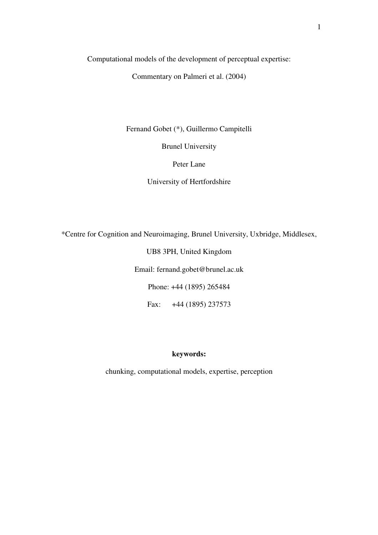Computational models of the development of perceptual expertise:

Commentary on Palmeri et al. (2004)

Fernand Gobet (\*), Guillermo Campitelli

Brunel University

Peter Lane

University of Hertfordshire

\*Centre for Cognition and Neuroimaging, Brunel University, Uxbridge, Middlesex,

UB8 3PH, United Kingdom

Email: fernand.gobet@brunel.ac.uk

Phone: +44 (1895) 265484

Fax: +44 (1895) 237573

## **keywords:**

chunking, computational models, expertise, perception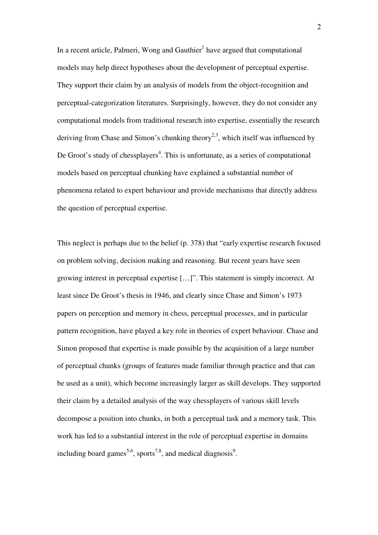In a recent article, Palmeri, Wong and Gauthier ${}^{1}$  have argued that computational models may help direct hypotheses about the development of perceptual expertise. They support their claim by an analysis of models from the object-recognition and perceptual-categorization literatures. Surprisingly, however, they do not consider any computational models from traditional research into expertise, essentially the research deriving from Chase and Simon's chunking theory<sup>2,3</sup>, which itself was influenced by De Groot's study of chessplayers<sup>4</sup>. This is unfortunate, as a series of computational models based on perceptual chunking have explained a substantial number of phenomena related to expert behaviour and provide mechanisms that directly address the question of perceptual expertise.

This neglect is perhaps due to the belief (p. 378) that "early expertise research focused on problem solving, decision making and reasoning. But recent years have seen growing interest in perceptual expertise […]". This statement is simply incorrect. At least since De Groot's thesis in 1946, and clearly since Chase and Simon's 1973 papers on perception and memory in chess, perceptual processes, and in particular pattern recognition, have played a key role in theories of expert behaviour. Chase and Simon proposed that expertise is made possible by the acquisition of a large number of perceptual chunks (groups of features made familiar through practice and that can be used as a unit), which become increasingly larger as skill develops. They supported their claim by a detailed analysis of the way chessplayers of various skill levels decompose a position into chunks, in both a perceptual task and a memory task. This work has led to a substantial interest in the role of perceptual expertise in domains including board games<sup>5,6</sup>, sports<sup>7,8</sup>, and medical diagnosis<sup>9</sup>.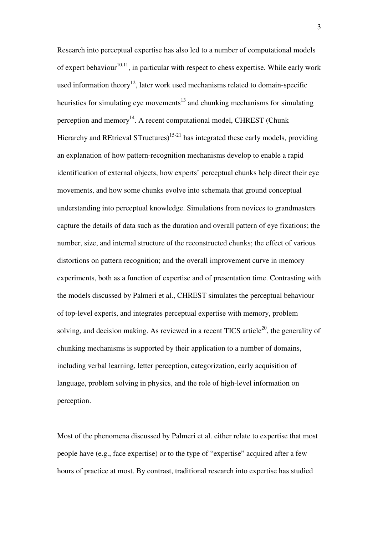Research into perceptual expertise has also led to a number of computational models of expert behaviour<sup>10,11</sup>, in particular with respect to chess expertise. While early work used information theory<sup>12</sup>, later work used mechanisms related to domain-specific heuristics for simulating eye movements<sup>13</sup> and chunking mechanisms for simulating perception and memory<sup>14</sup>. A recent computational model, CHREST (Chunk Hierarchy and REtrieval STructures)<sup>15-21</sup> has integrated these early models, providing an explanation of how pattern-recognition mechanisms develop to enable a rapid identification of external objects, how experts' perceptual chunks help direct their eye movements, and how some chunks evolve into schemata that ground conceptual understanding into perceptual knowledge. Simulations from novices to grandmasters capture the details of data such as the duration and overall pattern of eye fixations; the number, size, and internal structure of the reconstructed chunks; the effect of various distortions on pattern recognition; and the overall improvement curve in memory experiments, both as a function of expertise and of presentation time. Contrasting with the models discussed by Palmeri et al., CHREST simulates the perceptual behaviour of top-level experts, and integrates perceptual expertise with memory, problem solving, and decision making. As reviewed in a recent TICS article<sup>20</sup>, the generality of chunking mechanisms is supported by their application to a number of domains, including verbal learning, letter perception, categorization, early acquisition of language, problem solving in physics, and the role of high-level information on perception.

Most of the phenomena discussed by Palmeri et al. either relate to expertise that most people have (e.g., face expertise) or to the type of "expertise" acquired after a few hours of practice at most. By contrast, traditional research into expertise has studied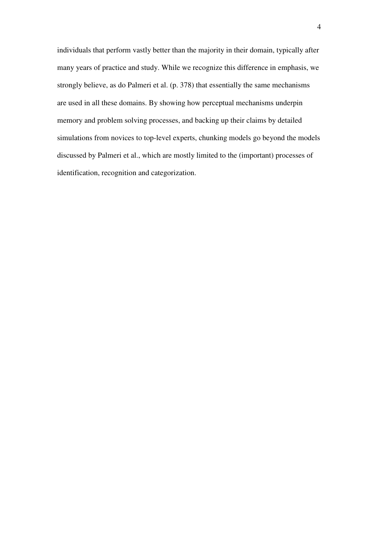individuals that perform vastly better than the majority in their domain, typically after many years of practice and study. While we recognize this difference in emphasis, we strongly believe, as do Palmeri et al. (p. 378) that essentially the same mechanisms are used in all these domains. By showing how perceptual mechanisms underpin memory and problem solving processes, and backing up their claims by detailed simulations from novices to top-level experts, chunking models go beyond the models discussed by Palmeri et al., which are mostly limited to the (important) processes of identification, recognition and categorization.